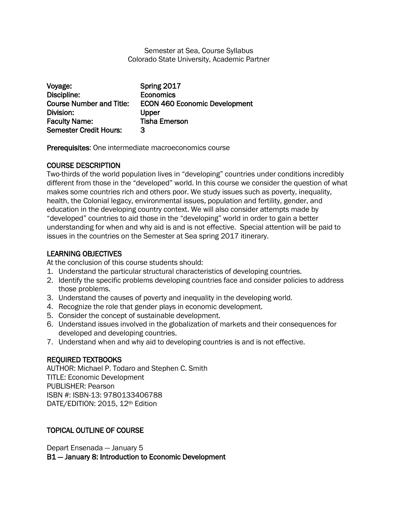#### Semester at Sea, Course Syllabus Colorado State University, Academic Partner

| Voyage:                         | Spring 2017                          |
|---------------------------------|--------------------------------------|
| Discipline:                     | <b>Economics</b>                     |
| <b>Course Number and Title:</b> | <b>ECON 460 Economic Development</b> |
| Division:                       | Upper                                |
| <b>Faculty Name:</b>            | <b>Tisha Emerson</b>                 |
| <b>Semester Credit Hours:</b>   | З                                    |

Prerequisites: One intermediate macroeconomics course

## COURSE DESCRIPTION

Two-thirds of the world population lives in "developing" countries under conditions incredibly different from those in the "developed" world. In this course we consider the question of what makes some countries rich and others poor. We study issues such as poverty, inequality, health, the Colonial legacy, environmental issues, population and fertility, gender, and education in the developing country context. We will also consider attempts made by "developed" countries to aid those in the "developing" world in order to gain a better understanding for when and why aid is and is not effective. Special attention will be paid to issues in the countries on the Semester at Sea spring 2017 itinerary.

# LEARNING OBJECTIVES

At the conclusion of this course students should:

- 1. Understand the particular structural characteristics of developing countries.
- 2. Identify the specific problems developing countries face and consider policies to address those problems.
- 3. Understand the causes of poverty and inequality in the developing world.
- 4. Recognize the role that gender plays in economic development.
- 5. Consider the concept of sustainable development.
- 6. Understand issues involved in the globalization of markets and their consequences for developed and developing countries.
- 7. Understand when and why aid to developing countries is and is not effective.

### REQUIRED TEXTBOOKS

AUTHOR: Michael P. Todaro and Stephen C. Smith TITLE: Economic Development PUBLISHER: Pearson ISBN #: ISBN-13: 9780133406788 DATE/EDITION: 2015, 12th Edition

# TOPICAL OUTLINE OF COURSE

Depart Ensenada — January 5 B1 — January 8: Introduction to Economic Development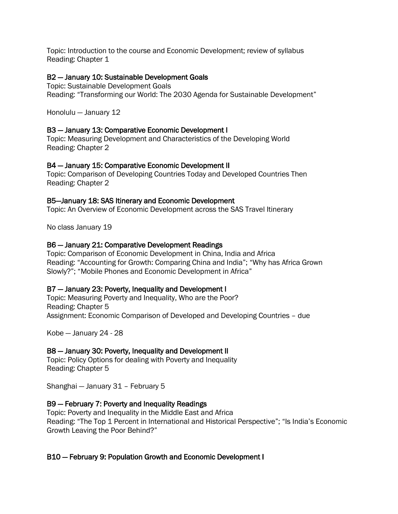Topic: Introduction to the course and Economic Development; review of syllabus Reading: Chapter 1

#### B2 — January 10: Sustainable Development Goals

Topic: Sustainable Development Goals Reading: "Transforming our World: The 2030 Agenda for Sustainable Development"

Honolulu — January 12

#### B3 — January 13: Comparative Economic Development I

Topic: Measuring Development and Characteristics of the Developing World Reading: Chapter 2

#### B4 — January 15: Comparative Economic Development II

Topic: Comparison of Developing Countries Today and Developed Countries Then Reading: Chapter 2

#### B5—January 18: SAS Itinerary and Economic Development

Topic: An Overview of Economic Development across the SAS Travel Itinerary

No class January 19

#### B6 — January 21: Comparative Development Readings

Topic: Comparison of Economic Development in China, India and Africa Reading: "Accounting for Growth: Comparing China and India"; "Why has Africa Grown Slowly?"; "Mobile Phones and Economic Development in Africa"

#### B7 — January 23: Poverty, Inequality and Development I

Topic: Measuring Poverty and Inequality, Who are the Poor? Reading: Chapter 5 Assignment: Economic Comparison of Developed and Developing Countries – due

Kobe — January 24 - 28

# B8 — January 30: Poverty, Inequality and Development II

Topic: Policy Options for dealing with Poverty and Inequality Reading: Chapter 5

Shanghai — January 31 – February 5

### B9 — February 7: Poverty and Inequality Readings

Topic: Poverty and Inequality in the Middle East and Africa Reading: "The Top 1 Percent in International and Historical Perspective"; "Is India's Economic Growth Leaving the Poor Behind?"

### B10 — February 9: Population Growth and Economic Development I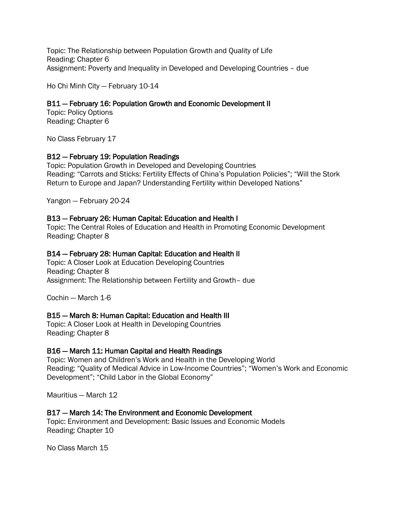Topic: The Relationship between Population Growth and Quality of Life Reading: Chapter 6 Assignment: Poverty and Inequality in Developed and Developing Countries – due

Ho Chi Minh City — February 10-14

### B11 — February 16: Population Growth and Economic Development II

Topic: Policy Options Reading: Chapter 6

No Class February 17

## B12 — February 19: Population Readings

Topic: Population Growth in Developed and Developing Countries Reading: "Carrots and Sticks: Fertility Effects of China's Population Policies"; "Will the Stork Return to Europe and Japan? Understanding Fertility within Developed Nations"

Yangon — February 20-24

### B13 — February 26: Human Capital: Education and Health I

Topic: The Central Roles of Education and Health in Promoting Economic Development Reading: Chapter 8

### B14 — February 28: Human Capital: Education and Health II

Topic: A Closer Look at Education Developing Countries Reading: Chapter 8 Assignment: The Relationship between Fertility and Growth– due

Cochin — March 1-6

### B15 — March 8: Human Capital: Education and Health III

Topic: A Closer Look at Health in Developing Countries Reading: Chapter 8

### B16 — March 11: Human Capital and Health Readings

Topic: Women and Children's Work and Health in the Developing World Reading: "Quality of Medical Advice in Low-Income Countries"; "Women's Work and Economic Development"; "Child Labor in the Global Economy"

Mauritius — March 12

### B17 — March 14: The Environment and Economic Development

Topic: Environment and Development: Basic Issues and Economic Models Reading: Chapter 10

No Class March 15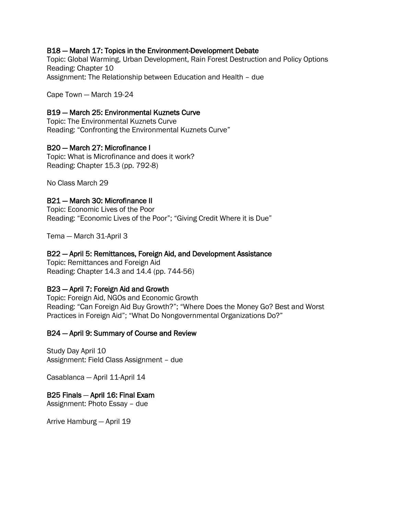### B18 — March 17: Topics in the Environment-Development Debate

Topic: Global Warming, Urban Development, Rain Forest Destruction and Policy Options Reading: Chapter 10 Assignment: The Relationship between Education and Health – due

Cape Town — March 19-24

#### B19 — March 25: Environmental Kuznets Curve

Topic: The Environmental Kuznets Curve Reading: "Confronting the Environmental Kuznets Curve"

#### B20 — March 27: Microfinance I

Topic: What is Microfinance and does it work? Reading: Chapter 15.3 (pp. 792-8)

No Class March 29

#### B21 — March 30: Microfinance II

Topic: Economic Lives of the Poor Reading: "Economic Lives of the Poor"; "Giving Credit Where it is Due"

Tema — March 31-April 3

#### B22 — April 5: Remittances, Foreign Aid, and Development Assistance

Topic: Remittances and Foreign Aid Reading: Chapter 14.3 and 14.4 (pp. 744-56)

### B23 — April 7: Foreign Aid and Growth

Topic: Foreign Aid, NGOs and Economic Growth Reading: "Can Foreign Aid Buy Growth?"; "Where Does the Money Go? Best and Worst Practices in Foreign Aid"; "What Do Nongovernmental Organizations Do?"

#### B24 — April 9: Summary of Course and Review

Study Day April 10 Assignment: Field Class Assignment – due

Casablanca — April 11-April 14

### B25 Finals — April 16: Final Exam

Assignment: Photo Essay – due

Arrive Hamburg — April 19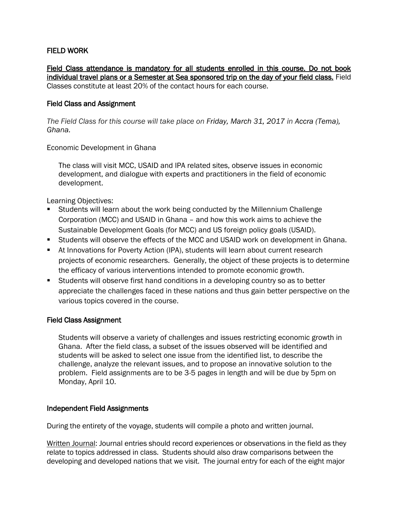### FIELD WORK

Field Class attendance is mandatory for all students enrolled in this course. Do not book individual travel plans or a Semester at Sea sponsored trip on the day of your field class. Field Classes constitute at least 20% of the contact hours for each course.

#### Field Class and Assignment

*The Field Class for this course will take place on Friday, March 31, 2017 in Accra (Tema), Ghana.*

Economic Development in Ghana

The class will visit MCC, USAID and IPA related sites, observe issues in economic development, and dialogue with experts and practitioners in the field of economic development.

Learning Objectives:

- Students will learn about the work being conducted by the Millennium Challenge Corporation (MCC) and USAID in Ghana – and how this work aims to achieve the Sustainable Development Goals (for MCC) and US foreign policy goals (USAID).
- Students will observe the effects of the MCC and USAID work on development in Ghana.
- At Innovations for Poverty Action (IPA), students will learn about current research projects of economic researchers. Generally, the object of these projects is to determine the efficacy of various interventions intended to promote economic growth.
- Students will observe first hand conditions in a developing country so as to better appreciate the challenges faced in these nations and thus gain better perspective on the various topics covered in the course.

#### Field Class Assignment

Students will observe a variety of challenges and issues restricting economic growth in Ghana. After the field class, a subset of the issues observed will be identified and students will be asked to select one issue from the identified list, to describe the challenge, analyze the relevant issues, and to propose an innovative solution to the problem. Field assignments are to be 3-5 pages in length and will be due by 5pm on Monday, April 10.

#### Independent Field Assignments

During the entirety of the voyage, students will compile a photo and written journal.

Written Journal: Journal entries should record experiences or observations in the field as they relate to topics addressed in class. Students should also draw comparisons between the developing and developed nations that we visit. The journal entry for each of the eight major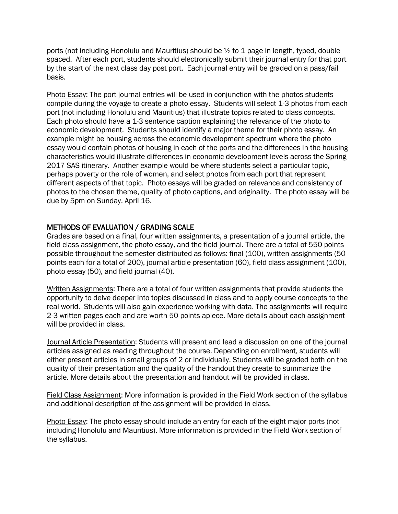ports (not including Honolulu and Mauritius) should be  $\frac{1}{2}$  to 1 page in length, typed, double spaced. After each port, students should electronically submit their journal entry for that port by the start of the next class day post port. Each journal entry will be graded on a pass/fail basis.

Photo Essay: The port journal entries will be used in conjunction with the photos students compile during the voyage to create a photo essay. Students will select 1-3 photos from each port (not including Honolulu and Mauritius) that illustrate topics related to class concepts. Each photo should have a 1-3 sentence caption explaining the relevance of the photo to economic development. Students should identify a major theme for their photo essay. An example might be housing across the economic development spectrum where the photo essay would contain photos of housing in each of the ports and the differences in the housing characteristics would illustrate differences in economic development levels across the Spring 2017 SAS itinerary. Another example would be where students select a particular topic, perhaps poverty or the role of women, and select photos from each port that represent different aspects of that topic. Photo essays will be graded on relevance and consistency of photos to the chosen theme, quality of photo captions, and originality. The photo essay will be due by 5pm on Sunday, April 16.

### METHODS OF EVALUATION / GRADING SCALE

Grades are based on a final, four written assignments, a presentation of a journal article, the field class assignment, the photo essay, and the field journal. There are a total of 550 points possible throughout the semester distributed as follows: final (100), written assignments (50 points each for a total of 200), journal article presentation (60), field class assignment (100), photo essay (50), and field journal (40).

Written Assignments: There are a total of four written assignments that provide students the opportunity to delve deeper into topics discussed in class and to apply course concepts to the real world. Students will also gain experience working with data. The assignments will require 2-3 written pages each and are worth 50 points apiece. More details about each assignment will be provided in class.

Journal Article Presentation: Students will present and lead a discussion on one of the journal articles assigned as reading throughout the course. Depending on enrollment, students will either present articles in small groups of 2 or individually. Students will be graded both on the quality of their presentation and the quality of the handout they create to summarize the article. More details about the presentation and handout will be provided in class.

Field Class Assignment: More information is provided in the Field Work section of the syllabus and additional description of the assignment will be provided in class.

Photo Essay: The photo essay should include an entry for each of the eight major ports (not including Honolulu and Mauritius). More information is provided in the Field Work section of the syllabus.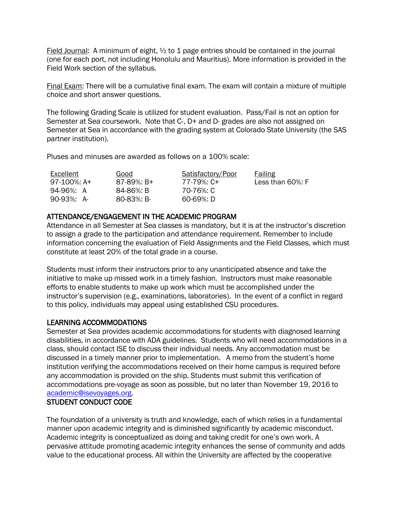Field Journal: A minimum of eight,  $\frac{1}{2}$  to 1 page entries should be contained in the journal (one for each port, not including Honolulu and Mauritius). More information is provided in the Field Work section of the syllabus.

Final Exam: There will be a cumulative final exam. The exam will contain a mixture of multiple choice and short answer questions.

The following Grading Scale is utilized for student evaluation. Pass/Fail is not an option for Semester at Sea coursework. Note that C-, D+ and D- grades are also not assigned on Semester at Sea in accordance with the grading system at Colorado State University (the SAS partner institution).

Pluses and minuses are awarded as follows on a 100% scale:

| Excellent   | Good           | Satisfactory/Poor | Failing              |
|-------------|----------------|-------------------|----------------------|
| 97-100%: A+ | $87-89\%$ : B+ | 77-79%: C+        | Less than $60\%$ : F |
| 94-96%: A   | 84-86%: B      | 70-76%: C         |                      |
| 90-93%: A-  | 80-83%: B-     | 60-69%: D         |                      |

### ATTENDANCE/ENGAGEMENT IN THE ACADEMIC PROGRAM

Attendance in all Semester at Sea classes is mandatory, but it is at the instructor's discretion to assign a grade to the participation and attendance requirement. Remember to include information concerning the evaluation of Field Assignments and the Field Classes, which must constitute at least 20% of the total grade in a course.

Students must inform their instructors prior to any unanticipated absence and take the initiative to make up missed work in a timely fashion. Instructors must make reasonable efforts to enable students to make up work which must be accomplished under the instructor's supervision (e.g., examinations, laboratories). In the event of a conflict in regard to this policy, individuals may appeal using established CSU procedures.

### LEARNING ACCOMMODATIONS

Semester at Sea provides academic accommodations for students with diagnosed learning disabilities, in accordance with ADA guidelines. Students who will need accommodations in a class, should contact ISE to discuss their individual needs. Any accommodation must be discussed in a timely manner prior to implementation. A memo from the student's home institution verifying the accommodations received on their home campus is required before any accommodation is provided on the ship. Students must submit this verification of accommodations pre-voyage as soon as possible, but no later than November 19, 2016 to [academic@isevoyages.org.](mailto:academic@isevoyages.org)

#### STUDENT CONDUCT CODE

The foundation of a university is truth and knowledge, each of which relies in a fundamental manner upon academic integrity and is diminished significantly by academic misconduct. Academic integrity is conceptualized as doing and taking credit for one's own work. A pervasive attitude promoting academic integrity enhances the sense of community and adds value to the educational process. All within the University are affected by the cooperative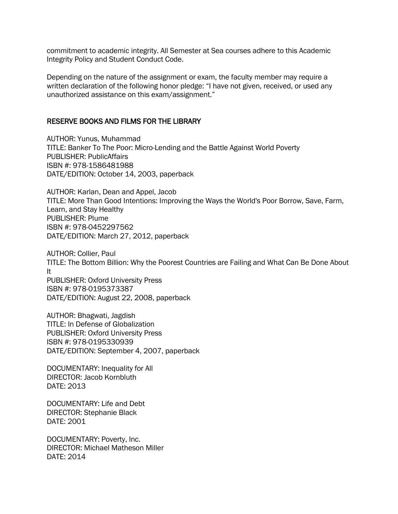commitment to academic integrity. All Semester at Sea courses adhere to this Academic Integrity Policy and Student Conduct Code.

Depending on the nature of the assignment or exam, the faculty member may require a written declaration of the following honor pledge: "I have not given, received, or used any unauthorized assistance on this exam/assignment."

#### RESERVE BOOKS AND FILMS FOR THE LIBRARY

AUTHOR: Yunus, Muhammad TITLE: Banker To The Poor: Micro-Lending and the Battle Against World Poverty PUBLISHER: PublicAffairs ISBN #: 978-1586481988 DATE/EDITION: October 14, 2003, paperback

AUTHOR: Karlan, Dean and Appel, Jacob TITLE: More Than Good Intentions: Improving the Ways the World's Poor Borrow, Save, Farm, Learn, and Stay Healthy PUBLISHER: Plume ISBN #: 978-0452297562 DATE/EDITION: March 27, 2012, paperback

AUTHOR: Collier, Paul TITLE: The Bottom Billion: Why the Poorest Countries are Failing and What Can Be Done About It PUBLISHER: Oxford University Press ISBN #: 978-0195373387 DATE/EDITION: August 22, 2008, paperback

AUTHOR: Bhagwati, Jagdish TITLE: In Defense of Globalization PUBLISHER: Oxford University Press ISBN #: 978-0195330939 DATE/EDITION: September 4, 2007, paperback

DOCUMENTARY: Inequality for All DIRECTOR: Jacob Kornbluth DATE: 2013

DOCUMENTARY: Life and Debt DIRECTOR: Stephanie Black DATE: 2001

DOCUMENTARY: Poverty, Inc. DIRECTOR: Michael Matheson Miller DATE: 2014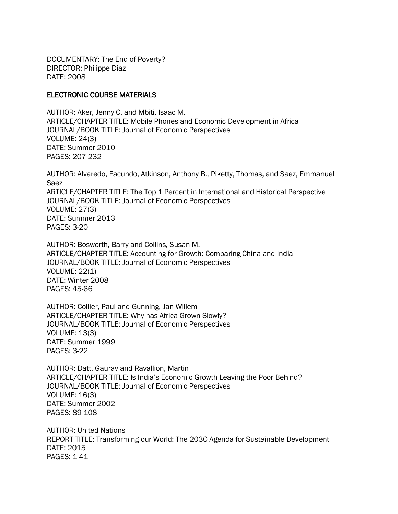DOCUMENTARY: The End of Poverty? DIRECTOR: Philippe Diaz DATE: 2008

#### ELECTRONIC COURSE MATERIALS

AUTHOR: Aker, Jenny C. and Mbiti, Isaac M. ARTICLE/CHAPTER TITLE: Mobile Phones and Economic Development in Africa JOURNAL/BOOK TITLE: Journal of Economic Perspectives VOLUME: 24(3) DATE: Summer 2010 PAGES: 207-232

AUTHOR: Alvaredo, Facundo, Atkinson, Anthony B., Piketty, Thomas, and Saez, Emmanuel Saez ARTICLE/CHAPTER TITLE: The Top 1 Percent in International and Historical Perspective JOURNAL/BOOK TITLE: Journal of Economic Perspectives VOLUME: 27(3) DATE: Summer 2013 PAGES: 3-20

AUTHOR: Bosworth, Barry and Collins, Susan M. ARTICLE/CHAPTER TITLE: Accounting for Growth: Comparing China and India JOURNAL/BOOK TITLE: Journal of Economic Perspectives VOLUME: 22(1) DATE: Winter 2008 PAGES: 45-66

AUTHOR: Collier, Paul and Gunning, Jan Willem ARTICLE/CHAPTER TITLE: Why has Africa Grown Slowly? JOURNAL/BOOK TITLE: Journal of Economic Perspectives VOLUME: 13(3) DATE: Summer 1999 PAGES: 3-22

AUTHOR: Datt, Gaurav and Ravallion, Martin ARTICLE/CHAPTER TITLE: Is India's Economic Growth Leaving the Poor Behind? JOURNAL/BOOK TITLE: Journal of Economic Perspectives VOLUME: 16(3) DATE: Summer 2002 PAGES: 89-108

AUTHOR: United Nations REPORT TITLE: Transforming our World: The 2030 Agenda for Sustainable Development DATE: 2015 PAGES: 1-41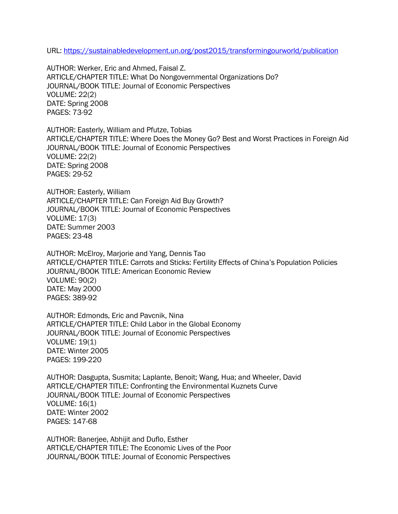URL:<https://sustainabledevelopment.un.org/post2015/transformingourworld/publication>

AUTHOR: Werker, Eric and Ahmed, Faisal Z. ARTICLE/CHAPTER TITLE: What Do Nongovernmental Organizations Do? JOURNAL/BOOK TITLE: Journal of Economic Perspectives VOLUME: 22(2) DATE: Spring 2008 PAGES: 73-92

AUTHOR: Easterly, William and Pfutze, Tobias ARTICLE/CHAPTER TITLE: Where Does the Money Go? Best and Worst Practices in Foreign Aid JOURNAL/BOOK TITLE: Journal of Economic Perspectives VOLUME: 22(2) DATE: Spring 2008 PAGES: 29-52

AUTHOR: Easterly, William ARTICLE/CHAPTER TITLE: Can Foreign Aid Buy Growth? JOURNAL/BOOK TITLE: Journal of Economic Perspectives VOLUME: 17(3) DATE: Summer 2003 PAGES: 23-48

AUTHOR: McElroy, Marjorie and Yang, Dennis Tao ARTICLE/CHAPTER TITLE: Carrots and Sticks: Fertility Effects of China's Population Policies JOURNAL/BOOK TITLE: American Economic Review VOLUME: 90(2) DATE: May 2000 PAGES: 389-92

AUTHOR: Edmonds, Eric and Pavcnik, Nina ARTICLE/CHAPTER TITLE: Child Labor in the Global Economy JOURNAL/BOOK TITLE: Journal of Economic Perspectives VOLUME: 19(1) DATE: Winter 2005 PAGES: 199-220

AUTHOR: Dasgupta, Susmita; Laplante, Benoit; Wang, Hua; and Wheeler, David ARTICLE/CHAPTER TITLE: Confronting the Environmental Kuznets Curve JOURNAL/BOOK TITLE: Journal of Economic Perspectives VOLUME: 16(1) DATE: Winter 2002 PAGES: 147-68

AUTHOR: Banerjee, Abhijit and Duflo, Esther ARTICLE/CHAPTER TITLE: The Economic Lives of the Poor JOURNAL/BOOK TITLE: Journal of Economic Perspectives